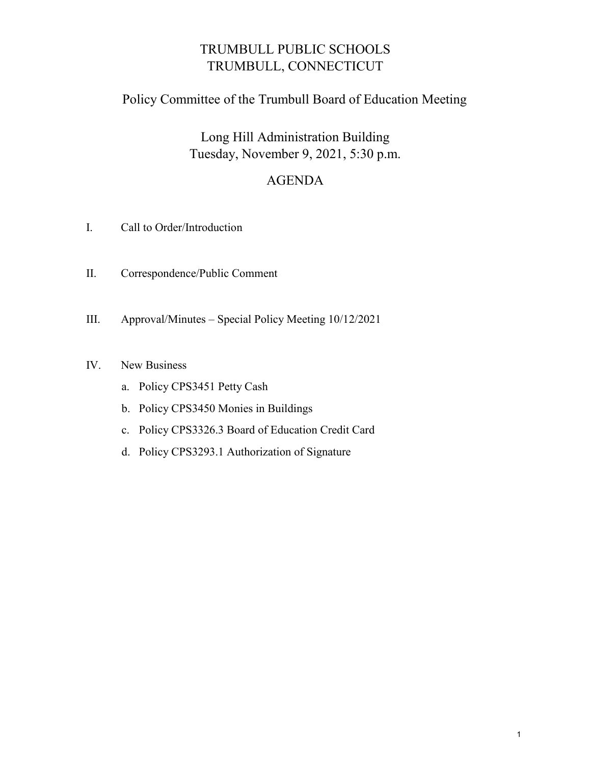# TRUMBULL PUBLIC SCHOOLS TRUMBULL, CONNECTICUT

## Policy Committee of the Trumbull Board of Education Meeting

Long Hill Administration Building Tuesday, November 9, 2021, 5:30 p.m.

## AGENDA

- I. Call to Order/Introduction
- II. Correspondence/Public Comment
- III. Approval/Minutes Special Policy Meeting 10/12/2021
- IV. New Business
	- a. Policy CPS3451 Petty Cash
	- b. Policy CPS3450 Monies in Buildings
	- c. Policy CPS3326.3 Board of Education Credit Card
	- d. Policy CPS3293.1 Authorization of Signature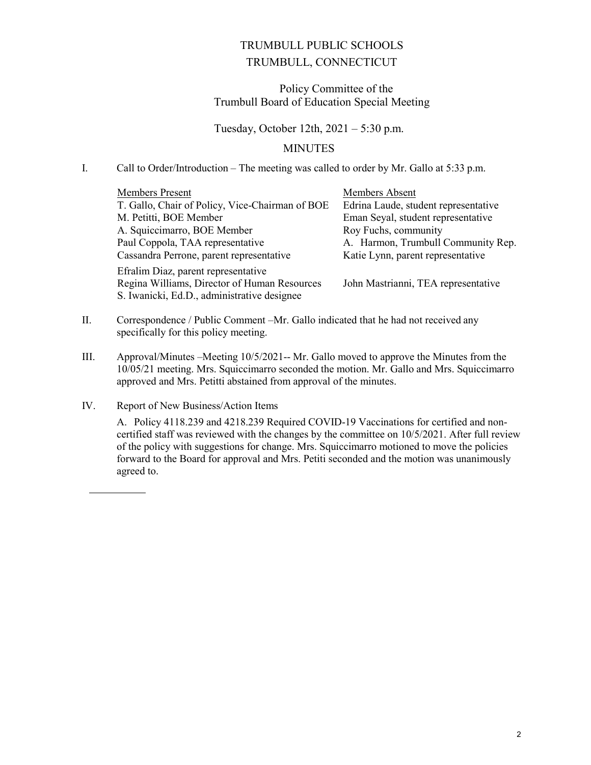### TRUMBULL PUBLIC SCHOOLS TRUMBULL, CONNECTICUT

#### Policy Committee of the Trumbull Board of Education Special Meeting

#### Tuesday, October 12th, 2021 – 5:30 p.m.

#### MINUTES

#### I. Call to Order/Introduction – The meeting was called to order by Mr. Gallo at 5:33 p.m.

| <b>Members Present</b><br>T. Gallo, Chair of Policy, Vice-Chairman of BOE                                                          | Members Absent<br>Edrina Laude, student representative |  |
|------------------------------------------------------------------------------------------------------------------------------------|--------------------------------------------------------|--|
| M. Petitti, BOE Member                                                                                                             | Eman Seyal, student representative                     |  |
| A. Squiccimarro, BOE Member                                                                                                        | Roy Fuchs, community                                   |  |
| Paul Coppola, TAA representative                                                                                                   | A. Harmon, Trumbull Community Rep.                     |  |
| Cassandra Perrone, parent representative                                                                                           | Katie Lynn, parent representative                      |  |
| Efralim Diaz, parent representative<br>Regina Williams, Director of Human Resources<br>S. Iwanicki, Ed.D., administrative designee | John Mastrianni, TEA representative                    |  |

- II. Correspondence / Public Comment –Mr. Gallo indicated that he had not received any specifically for this policy meeting.
- III. Approval/Minutes –Meeting 10/5/2021-- Mr. Gallo moved to approve the Minutes from the 10/05/21 meeting. Mrs. Squiccimarro seconded the motion. Mr. Gallo and Mrs. Squiccimarro approved and Mrs. Petitti abstained from approval of the minutes.
- IV. Report of New Business/Action Items

<u>Adjust Service Service</u>

A. Policy 4118.239 and 4218.239 Required COVID-19 Vaccinations for certified and noncertified staff was reviewed with the changes by the committee on 10/5/2021. After full review of the policy with suggestions for change. Mrs. Squiccimarro motioned to move the policies forward to the Board for approval and Mrs. Petiti seconded and the motion was unanimously agreed to.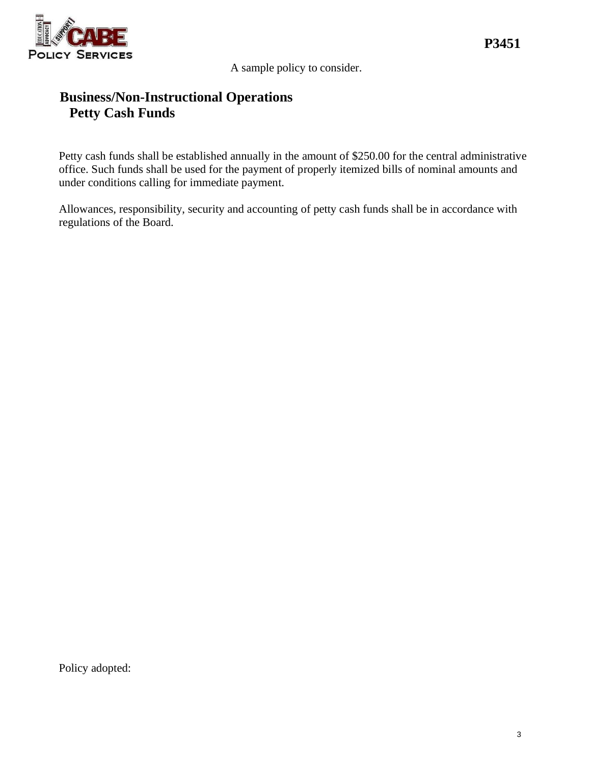

A sample policy to consider.

# **Business/Non-Instructional Operations Petty Cash Funds**

Petty cash funds shall be established annually in the amount of \$250.00 for the central administrative office. Such funds shall be used for the payment of properly itemized bills of nominal amounts and under conditions calling for immediate payment.

Allowances, responsibility, security and accounting of petty cash funds shall be in accordance with regulations of the Board.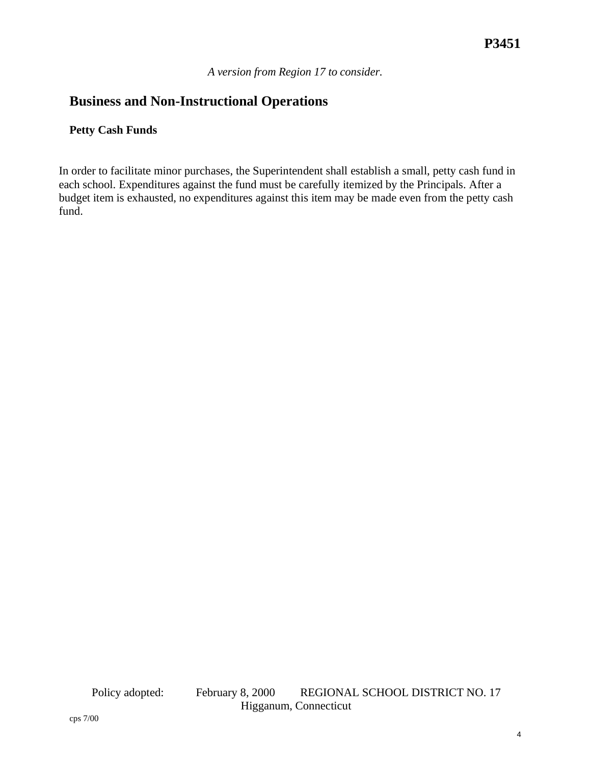*A version from Region 17 to consider.*

## **Business and Non-Instructional Operations**

### **Petty Cash Funds**

In order to facilitate minor purchases, the Superintendent shall establish a small, petty cash fund in each school. Expenditures against the fund must be carefully itemized by the Principals. After a budget item is exhausted, no expenditures against this item may be made even from the petty cash fund.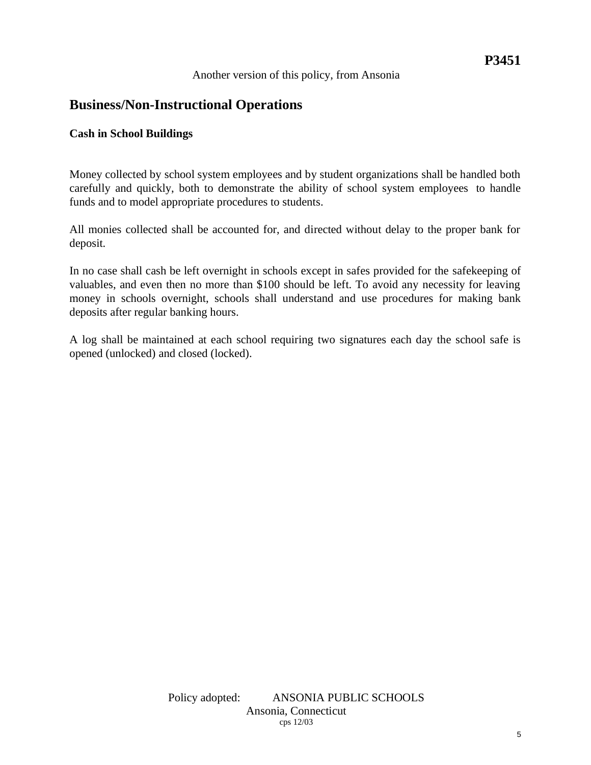# **P3451**

#### Another version of this policy, from Ansonia

## **Business/Non-Instructional Operations**

#### **Cash in School Buildings**

Money collected by school system employees and by student organizations shall be handled both carefully and quickly, both to demonstrate the ability of school system employees to handle funds and to model appropriate procedures to students.

All monies collected shall be accounted for, and directed without delay to the proper bank for deposit.

In no case shall cash be left overnight in schools except in safes provided for the safekeeping of valuables, and even then no more than \$100 should be left. To avoid any necessity for leaving money in schools overnight, schools shall understand and use procedures for making bank deposits after regular banking hours.

A log shall be maintained at each school requiring two signatures each day the school safe is opened (unlocked) and closed (locked).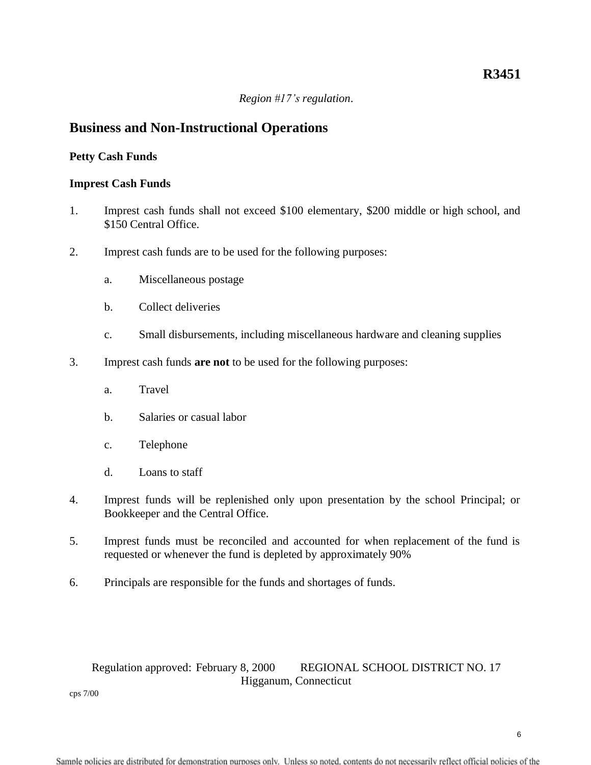#### *Region #17's regulation*.

### **Business and Non-Instructional Operations**

#### **Petty Cash Funds**

#### **Imprest Cash Funds**

- 1. Imprest cash funds shall not exceed \$100 elementary, \$200 middle or high school, and \$150 Central Office.
- 2. Imprest cash funds are to be used for the following purposes:
	- a. Miscellaneous postage
	- b. Collect deliveries
	- c. Small disbursements, including miscellaneous hardware and cleaning supplies
- 3. Imprest cash funds **are not** to be used for the following purposes:
	- a. Travel
	- b. Salaries or casual labor
	- c. Telephone
	- d. Loans to staff
- 4. Imprest funds will be replenished only upon presentation by the school Principal; or Bookkeeper and the Central Office.
- 5. Imprest funds must be reconciled and accounted for when replacement of the fund is requested or whenever the fund is depleted by approximately 90%
- 6. Principals are responsible for the funds and shortages of funds.

### Regulation approved: February 8, 2000 REGIONAL SCHOOL DISTRICT NO. 17 Higganum, Connecticut

cps 7/00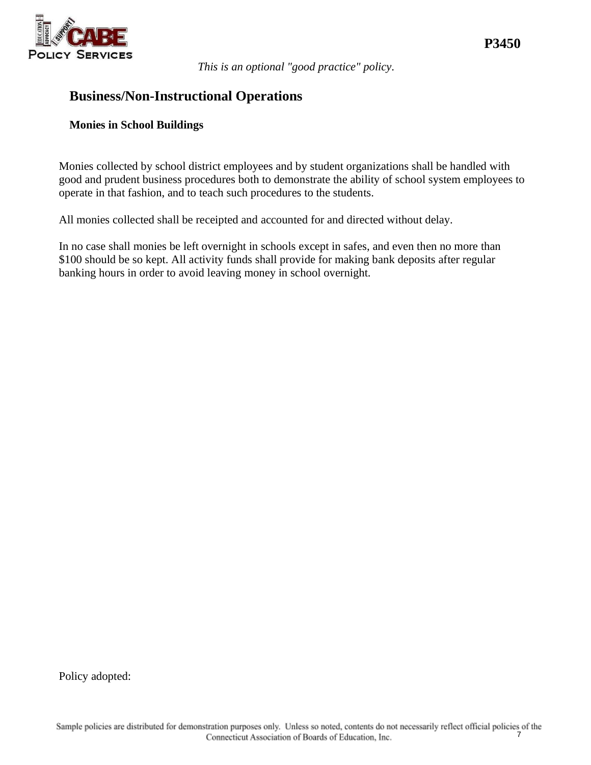

*This is an optional "good practice" policy*.

### **Business/Non-Instructional Operations**

#### **Monies in School Buildings**

Monies collected by school district employees and by student organizations shall be handled with good and prudent business procedures both to demonstrate the ability of school system employees to operate in that fashion, and to teach such procedures to the students.

All monies collected shall be receipted and accounted for and directed without delay.

In no case shall monies be left overnight in schools except in safes, and even then no more than \$100 should be so kept. All activity funds shall provide for making bank deposits after regular banking hours in order to avoid leaving money in school overnight.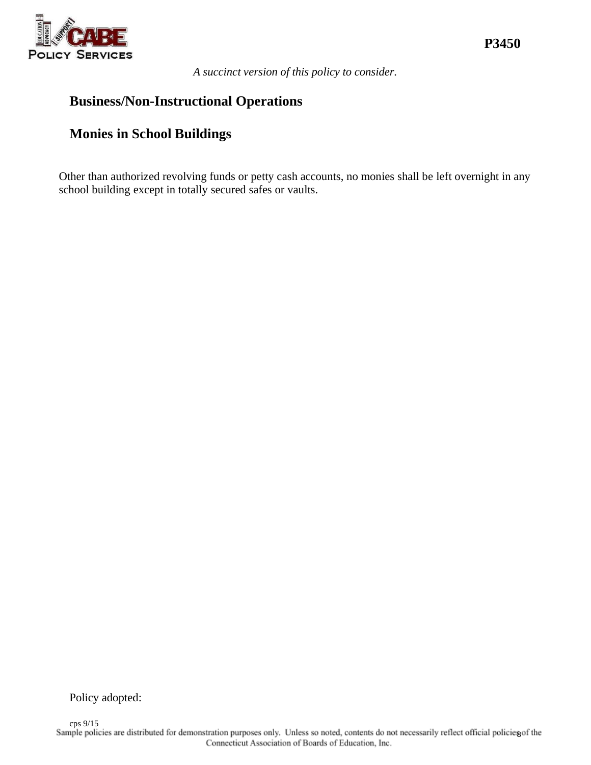

*A succinct version of this policy to consider.*

## **Business/Non-Instructional Operations**

# **Monies in School Buildings**

Other than authorized revolving funds or petty cash accounts, no monies shall be left overnight in any school building except in totally secured safes or vaults.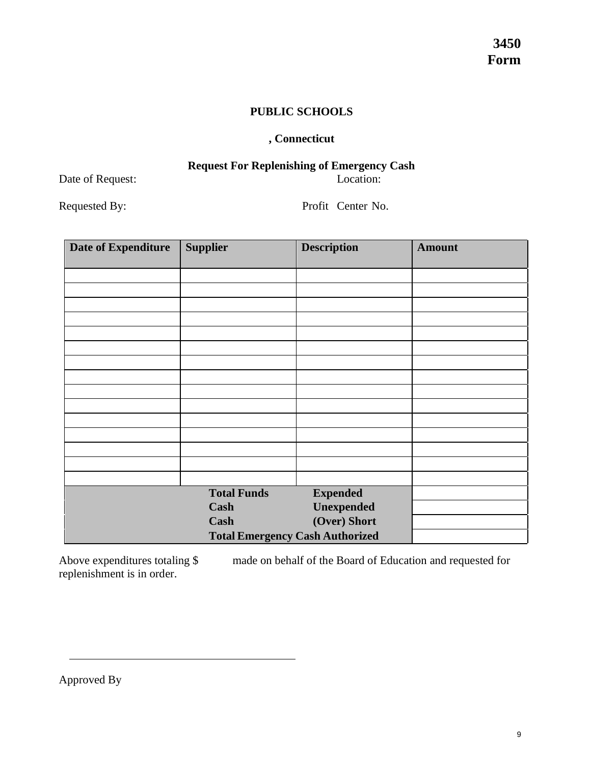### **PUBLIC SCHOOLS**

### **, Connecticut**

### **Request For Replenishing of Emergency Cash** Date of Request: Location:

Requested By: Profit Center No.

| <b>Date of Expenditure</b>             | <b>Supplier</b>    | <b>Description</b> | <b>Amount</b> |
|----------------------------------------|--------------------|--------------------|---------------|
|                                        |                    |                    |               |
|                                        |                    |                    |               |
|                                        |                    |                    |               |
|                                        |                    |                    |               |
|                                        |                    |                    |               |
|                                        |                    |                    |               |
|                                        |                    |                    |               |
|                                        |                    |                    |               |
|                                        |                    |                    |               |
|                                        |                    |                    |               |
|                                        |                    |                    |               |
|                                        |                    |                    |               |
|                                        |                    |                    |               |
|                                        |                    |                    |               |
|                                        |                    |                    |               |
|                                        | <b>Total Funds</b> | <b>Expended</b>    |               |
|                                        | Cash               | Unexpended         |               |
|                                        | Cash               | (Over) Short       |               |
| <b>Total Emergency Cash Authorized</b> |                    |                    |               |

Above expenditures totaling \$ made on behalf of the Board of Education and requested for replenishment is in order.

Approved By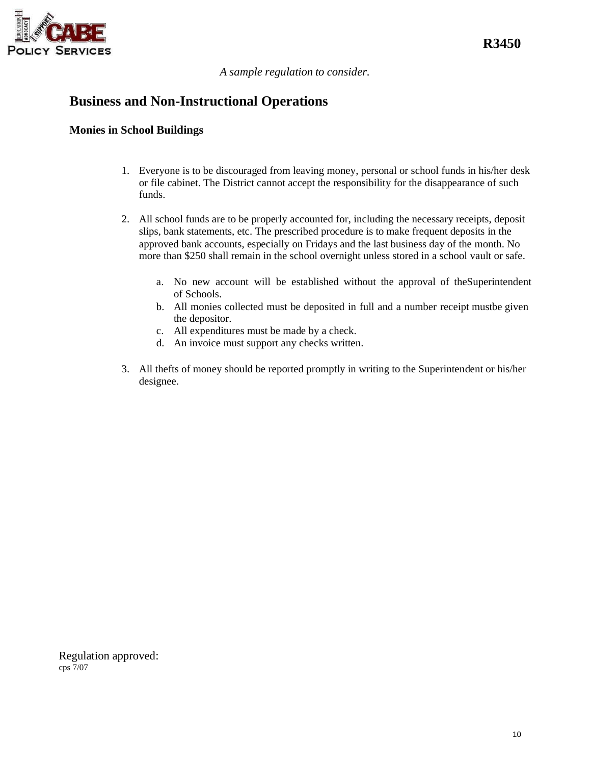

*A sample regulation to consider.*

## **Business and Non-Instructional Operations**

#### **Monies in School Buildings**

- 1. Everyone is to be discouraged from leaving money, personal or school funds in his/her desk or file cabinet. The District cannot accept the responsibility for the disappearance of such funds.
- 2. All school funds are to be properly accounted for, including the necessary receipts, deposit slips, bank statements, etc. The prescribed procedure is to make frequent deposits in the approved bank accounts, especially on Fridays and the last business day of the month. No more than \$250 shall remain in the school overnight unless stored in a school vault or safe.
	- a. No new account will be established without the approval of theSuperintendent of Schools.
	- b. All monies collected must be deposited in full and a number receipt mustbe given the depositor.
	- c. All expenditures must be made by a check.
	- d. An invoice must support any checks written.
- 3. All thefts of money should be reported promptly in writing to the Superintendent or his/her designee.

Regulation approved: cps 7/07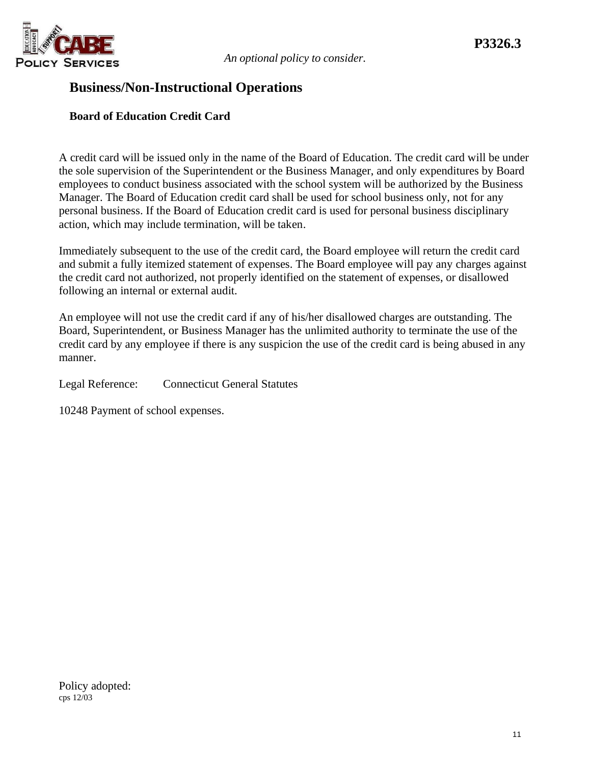

## **Business/Non-Instructional Operations**

### **Board of Education Credit Card**

A credit card will be issued only in the name of the Board of Education. The credit card will be under the sole supervision of the Superintendent or the Business Manager, and only expenditures by Board employees to conduct business associated with the school system will be authorized by the Business Manager. The Board of Education credit card shall be used for school business only, not for any personal business. If the Board of Education credit card is used for personal business disciplinary action, which may include termination, will be taken.

Immediately subsequent to the use of the credit card, the Board employee will return the credit card and submit a fully itemized statement of expenses. The Board employee will pay any charges against the credit card not authorized, not properly identified on the statement of expenses, or disallowed following an internal or external audit.

An employee will not use the credit card if any of his/her disallowed charges are outstanding. The Board, Superintendent, or Business Manager has the unlimited authority to terminate the use of the credit card by any employee if there is any suspicion the use of the credit card is being abused in any manner.

Legal Reference: Connecticut General Statutes

10248 Payment of school expenses.

Policy adopted: cps 12/03